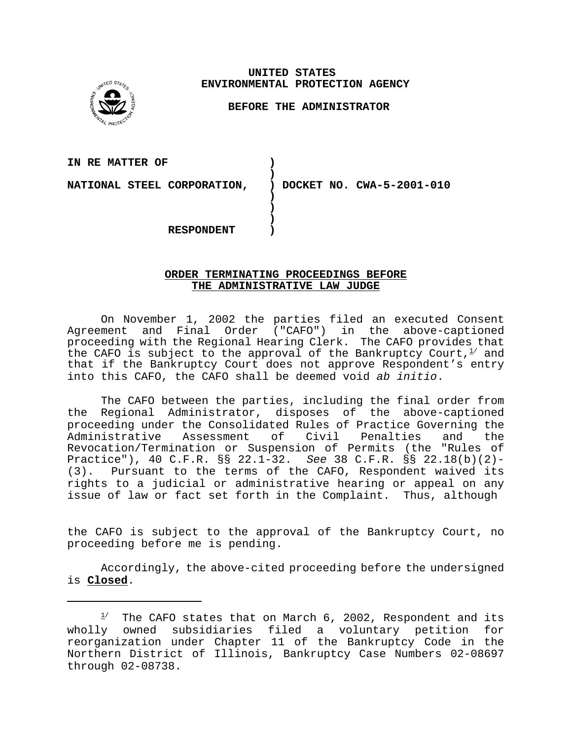**UNITED STATES ENVIRONMENTAL PROTECTION AGENCY** 

## **BEFORE THE ADMINISTRATOR**

**IN RE MATTER OF )** 

**NATIONAL STEEL CORPORATION, ) DOCKET NO. CWA-5-2001-010** 

**RESPONDENT )** 

## **ORDER TERMINATING PROCEEDINGS BEFORE THE ADMINISTRATIVE LAW JUDGE**

**)** 

**) ) )** 

On November 1, 2002 the parties filed an executed Consent Agreement and Final Order ("CAFO") in the above-captioned proceeding with the Regional Hearing Clerk. The CAFO provides that the CAFO is subject to the approval of the Bankruptcy Court,  $l^2$  and that if the Bankruptcy Court does not approve Respondent's entry into this CAFO, the CAFO shall be deemed void *ab initio*.

The CAFO between the parties, including the final order from the Regional Administrator, disposes of the above-captioned proceeding under the Consolidated Rules of Practice Governing the Administrative Assessment of Civil Penalties and the Revocation/Termination or Suspension of Permits (the "Rules of Practice"), 40 C.F.R. §§ 22.1-32. *See* 38 C.F.R. §§ 22.18(b)(2)- (3). Pursuant to the terms of the CAFO, Respondent waived its rights to a judicial or administrative hearing or appeal on any issue of law or fact set forth in the Complaint. Thus, although

the CAFO is subject to the approval of the Bankruptcy Court, no proceeding before me is pending.

Accordingly, the above-cited proceeding before the undersigned is **Closed**.

 $1/$  The CAFO states that on March 6, 2002, Respondent and its wholly owned subsidiaries filed a voluntary petition for reorganization under Chapter 11 of the Bankruptcy Code in the Northern District of Illinois, Bankruptcy Case Numbers 02-08697 through 02-08738.